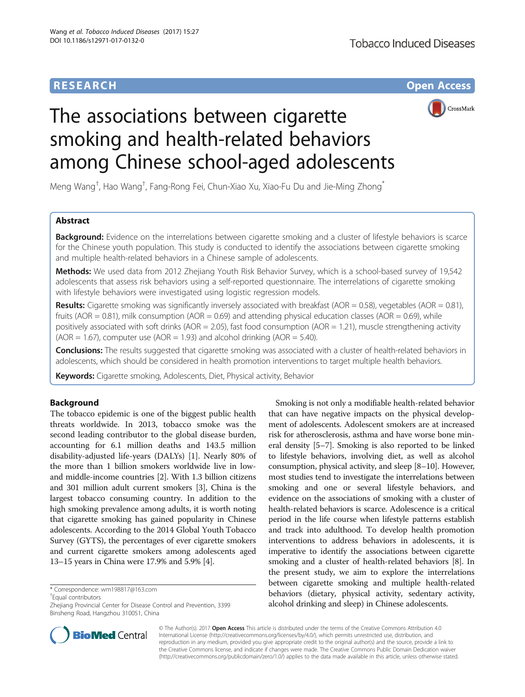# **RESEARCH CHE Open Access**



# The associations between cigarette smoking and health-related behaviors among Chinese school-aged adolescents

Meng Wang<sup>†</sup>, Hao Wang<sup>†</sup>, Fang-Rong Fei, Chun-Xiao Xu, Xiao-Fu Du and Jie-Ming Zhong<sup>\*</sup>

# Abstract

Background: Evidence on the interrelations between cigarette smoking and a cluster of lifestyle behaviors is scarce for the Chinese youth population. This study is conducted to identify the associations between cigarette smoking and multiple health-related behaviors in a Chinese sample of adolescents.

Methods: We used data from 2012 Zhejiang Youth Risk Behavior Survey, which is a school-based survey of 19,542 adolescents that assess risk behaviors using a self-reported questionnaire. The interrelations of cigarette smoking with lifestyle behaviors were investigated using logistic regression models.

**Results:** Cigarette smoking was significantly inversely associated with breakfast (AOR = 0.58), vegetables (AOR = 0.81), fruits (AOR = 0.81), milk consumption (AOR = 0.69) and attending physical education classes (AOR = 0.69), while positively associated with soft drinks (AOR = 2.05), fast food consumption (AOR = 1.21), muscle strengthening activity  $(AOR = 1.67)$ , computer use  $(AOR = 1.93)$  and alcohol drinking  $(AOR = 5.40)$ .

Conclusions: The results suggested that cigarette smoking was associated with a cluster of health-related behaviors in adolescents, which should be considered in health promotion interventions to target multiple health behaviors.

Keywords: Cigarette smoking, Adolescents, Diet, Physical activity, Behavior

# Background

The tobacco epidemic is one of the biggest public health threats worldwide. In 2013, tobacco smoke was the second leading contributor to the global disease burden, accounting for 6.1 million deaths and 143.5 million disability-adjusted life-years (DALYs) [[1\]](#page-6-0). Nearly 80% of the more than 1 billion smokers worldwide live in lowand middle-income countries [\[2](#page-6-0)]. With 1.3 billion citizens and 301 million adult current smokers [\[3](#page-6-0)], China is the largest tobacco consuming country. In addition to the high smoking prevalence among adults, it is worth noting that cigarette smoking has gained popularity in Chinese adolescents. According to the 2014 Global Youth Tobacco Survey (GYTS), the percentages of ever cigarette smokers and current cigarette smokers among adolescents aged 13–15 years in China were 17.9% and 5.9% [\[4](#page-6-0)].

Equal contributors

Smoking is not only a modifiable health-related behavior that can have negative impacts on the physical development of adolescents. Adolescent smokers are at increased risk for atherosclerosis, asthma and have worse bone mineral density [\[5](#page-6-0)–[7\]](#page-6-0). Smoking is also reported to be linked to lifestyle behaviors, involving diet, as well as alcohol consumption, physical activity, and sleep [\[8](#page-6-0)–[10](#page-6-0)]. However, most studies tend to investigate the interrelations between smoking and one or several lifestyle behaviors, and evidence on the associations of smoking with a cluster of health-related behaviors is scarce. Adolescence is a critical period in the life course when lifestyle patterns establish and track into adulthood. To develop health promotion interventions to address behaviors in adolescents, it is imperative to identify the associations between cigarette smoking and a cluster of health-related behaviors [\[8](#page-6-0)]. In the present study, we aim to explore the interrelations between cigarette smoking and multiple health-related behaviors (dietary, physical activity, sedentary activity, alcohol drinking and sleep) in Chinese adolescents.



© The Author(s). 2017 **Open Access** This article is distributed under the terms of the Creative Commons Attribution 4.0 International License [\(http://creativecommons.org/licenses/by/4.0/](http://creativecommons.org/licenses/by/4.0/)), which permits unrestricted use, distribution, and reproduction in any medium, provided you give appropriate credit to the original author(s) and the source, provide a link to the Creative Commons license, and indicate if changes were made. The Creative Commons Public Domain Dedication waiver [\(http://creativecommons.org/publicdomain/zero/1.0/](http://creativecommons.org/publicdomain/zero/1.0/)) applies to the data made available in this article, unless otherwise stated.

<sup>\*</sup> Correspondence: [wm198817@163.com](mailto:wm198817@163.com) †

Zhejiang Provincial Center for Disease Control and Prevention, 3399 Binsheng Road, Hangzhou 310051, China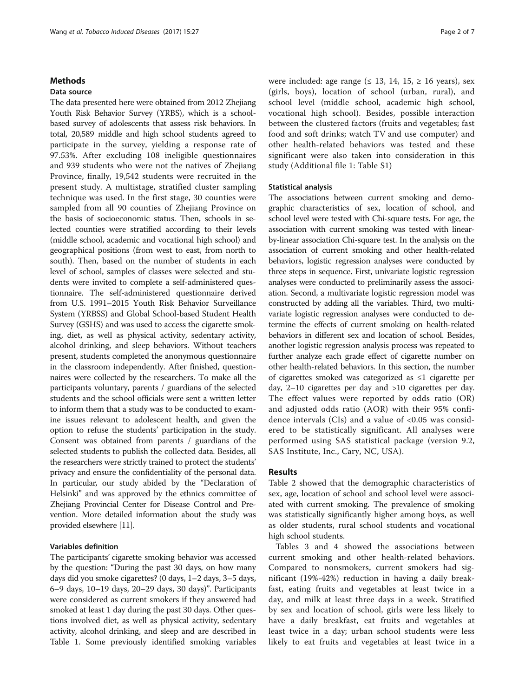#### Methods

#### Data source

The data presented here were obtained from 2012 Zhejiang Youth Risk Behavior Survey (YRBS), which is a schoolbased survey of adolescents that assess risk behaviors. In total, 20,589 middle and high school students agreed to participate in the survey, yielding a response rate of 97.53%. After excluding 108 ineligible questionnaires and 939 students who were not the natives of Zhejiang Province, finally, 19,542 students were recruited in the present study. A multistage, stratified cluster sampling technique was used. In the first stage, 30 counties were sampled from all 90 counties of Zhejiang Province on the basis of socioeconomic status. Then, schools in selected counties were stratified according to their levels (middle school, academic and vocational high school) and geographical positions (from west to east, from north to south). Then, based on the number of students in each level of school, samples of classes were selected and students were invited to complete a self-administered questionnaire. The self-administered questionnaire derived from U.S. 1991–2015 Youth Risk Behavior Surveillance System (YRBSS) and Global School-based Student Health Survey (GSHS) and was used to access the cigarette smoking, diet, as well as physical activity, sedentary activity, alcohol drinking, and sleep behaviors. Without teachers present, students completed the anonymous questionnaire in the classroom independently. After finished, questionnaires were collected by the researchers. To make all the participants voluntary, parents / guardians of the selected students and the school officials were sent a written letter to inform them that a study was to be conducted to examine issues relevant to adolescent health, and given the option to refuse the students' participation in the study. Consent was obtained from parents / guardians of the selected students to publish the collected data. Besides, all the researchers were strictly trained to protect the students' privacy and ensure the confidentiality of the personal data. In particular, our study abided by the "Declaration of Helsinki" and was approved by the ethnics committee of Zhejiang Provincial Center for Disease Control and Prevention. More detailed information about the study was provided elsewhere [\[11\]](#page-6-0).

# Variables definition

The participants' cigarette smoking behavior was accessed by the question: "During the past 30 days, on how many days did you smoke cigarettes? (0 days, 1–2 days, 3–5 days, 6–9 days, 10–19 days, 20–29 days, 30 days)". Participants were considered as current smokers if they answered had smoked at least 1 day during the past 30 days. Other questions involved diet, as well as physical activity, sedentary activity, alcohol drinking, and sleep and are described in Table [1](#page-2-0). Some previously identified smoking variables were included: age range ( $\leq$  13, 14, 15,  $\geq$  16 years), sex (girls, boys), location of school (urban, rural), and school level (middle school, academic high school, vocational high school). Besides, possible interaction between the clustered factors (fruits and vegetables; fast food and soft drinks; watch TV and use computer) and other health-related behaviors was tested and these significant were also taken into consideration in this study (Additional file [1:](#page-5-0) Table S1)

### Statistical analysis

The associations between current smoking and demographic characteristics of sex, location of school, and school level were tested with Chi-square tests. For age, the association with current smoking was tested with linearby-linear association Chi-square test. In the analysis on the association of current smoking and other health-related behaviors, logistic regression analyses were conducted by three steps in sequence. First, univariate logistic regression analyses were conducted to preliminarily assess the association. Second, a multivariate logistic regression model was constructed by adding all the variables. Third, two multivariate logistic regression analyses were conducted to determine the effects of current smoking on health-related behaviors in different sex and location of school. Besides, another logistic regression analysis process was repeated to further analyze each grade effect of cigarette number on other health-related behaviors. In this section, the number of cigarettes smoked was categorized as ≤1 cigarette per day, 2–10 cigarettes per day and >10 cigarettes per day. The effect values were reported by odds ratio (OR) and adjusted odds ratio (AOR) with their 95% confidence intervals (CIs) and a value of  $< 0.05$  was considered to be statistically significant. All analyses were performed using SAS statistical package (version 9.2, SAS Institute, Inc., Cary, NC, USA).

#### Results

Table [2](#page-2-0) showed that the demographic characteristics of sex, age, location of school and school level were associated with current smoking. The prevalence of smoking was statistically significantly higher among boys, as well as older students, rural school students and vocational high school students.

Tables [3](#page-3-0) and [4](#page-4-0) showed the associations between current smoking and other health-related behaviors. Compared to nonsmokers, current smokers had significant (19%-42%) reduction in having a daily breakfast, eating fruits and vegetables at least twice in a day, and milk at least three days in a week. Stratified by sex and location of school, girls were less likely to have a daily breakfast, eat fruits and vegetables at least twice in a day; urban school students were less likely to eat fruits and vegetables at least twice in a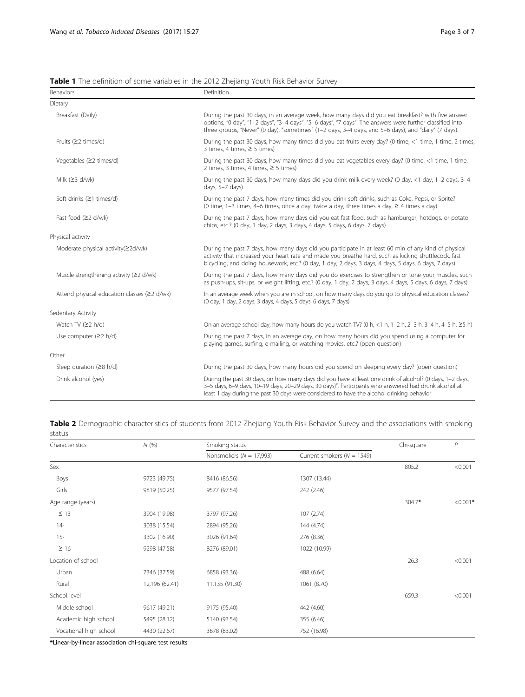| Behaviors                                   | Definition                                                                                                                                                                                                                                                                                                             |  |  |
|---------------------------------------------|------------------------------------------------------------------------------------------------------------------------------------------------------------------------------------------------------------------------------------------------------------------------------------------------------------------------|--|--|
| Dietary                                     |                                                                                                                                                                                                                                                                                                                        |  |  |
| Breakfast (Daily)                           | During the past 30 days, in an average week, how many days did you eat breakfast? with five answer<br>options, "0 day", "1-2 days", "3-4 days", "5-6 days", "7 days". The answers were further classified into<br>three groups, "Never" (0 day), "sometimes" (1-2 days, 3-4 days, and 5-6 days), and "daily" (7 days). |  |  |
| Fruits $(22 \times 1)$                      | During the past 30 days, how many times did you eat fruits every day? (0 time, <1 time, 1 time, 2 times,<br>3 times, 4 times, $\ge$ 5 times)                                                                                                                                                                           |  |  |
| Vegetables (≥2 times/d)                     | During the past 30 days, how many times did you eat vegetables every day? (0 time, <1 time, 1 time,<br>2 times, 3 times, 4 times, $\ge$ 5 times)                                                                                                                                                                       |  |  |
| Milk $(23 d/wk)$                            | During the past 30 days, how many days did you drink milk every week? (0 day, <1 day, 1-2 days, 3-4<br>days, 5-7 days)                                                                                                                                                                                                 |  |  |
| Soft drinks (≥1 times/d)                    | During the past 7 days, how many times did you drink soft drinks, such as Coke, Pepsi, or Sprite?<br>(0 time, 1-3 times, 4-6 times, once a day, twice a day, three times a day, $\geq$ 4 times a day)                                                                                                                  |  |  |
| Fast food $(22 d/wk)$                       | During the past 7 days, how many days did you eat fast food, such as hamburger, hotdogs, or potato<br>chips, etc.? (0 day, 1 day, 2 days, 3 days, 4 days, 5 days, 6 days, 7 days)                                                                                                                                      |  |  |
| Physical activity                           |                                                                                                                                                                                                                                                                                                                        |  |  |
| Moderate physical activity(≥2d/wk)          | During the past 7 days, how many days did you participate in at least 60 min of any kind of physical<br>activity that increased your heart rate and made you breathe hard, such as kicking shuttlecock, fast<br>bicycling, and doing housework, etc.? (0 day, 1 day, 2 days, 3 days, 4 days, 5 days, 6 days, 7 days)   |  |  |
| Muscle strengthening activity (≥2 d/wk)     | During the past 7 days, how many days did you do exercises to strengthen or tone your muscles, such<br>as push-ups, sit-ups, or weight lifting, etc.? (0 day, 1 day, 2 days, 3 days, 4 days, 5 days, 6 days, 7 days)                                                                                                   |  |  |
| Attend physical education classes (≥2 d/wk) | In an average week when you are in school, on how many days do you go to physical education classes?<br>(0 day, 1 day, 2 days, 3 days, 4 days, 5 days, 6 days, 7 days)                                                                                                                                                 |  |  |
| Sedentary Activity                          |                                                                                                                                                                                                                                                                                                                        |  |  |
| Watch TV $(22 h/d)$                         | On an average school day, how many hours do you watch TV? (0 h, <1 h, 1-2 h, 2-3 h, 3-4 h, 4-5 h, $\geq$ 5 h)                                                                                                                                                                                                          |  |  |
| Use computer $(22 h/d)$                     | During the past 7 days, in an average day, on how many hours did you spend using a computer for<br>playing games, surfing, e-mailing, or watching movies, etc.? (open question)                                                                                                                                        |  |  |
| Other                                       |                                                                                                                                                                                                                                                                                                                        |  |  |
| Sleep duration $(28 h/d)$                   | During the past 30 days, how many hours did you spend on sleeping every day? (open question)                                                                                                                                                                                                                           |  |  |
| Drink alcohol (yes)                         | During the past 30 days, on how many days did you have at least one drink of alcohol? (0 days, 1-2 days,<br>3-5 days, 6-9 days, 10-19 days, 20-29 days, 30 days)". Participants who answered had drunk alcohol at<br>least 1 day during the past 30 days were considered to have the alcohol drinking behavior         |  |  |

<span id="page-2-0"></span>Table 1 The definition of some variables in the 2012 Zhejiang Youth Risk Behavior Survey

Table 2 Demographic characteristics of students from 2012 Zhejiang Youth Risk Behavior Survey and the associations with smoking status

| Characteristics        | N(%            | Smoking status              | Chi-square                     | $\mathcal{P}$ |            |
|------------------------|----------------|-----------------------------|--------------------------------|---------------|------------|
|                        |                | Nonsmokers ( $N = 17,993$ ) | Current smokers ( $N = 1549$ ) |               |            |
| Sex                    |                |                             |                                | 805.2         | < 0.001    |
| Boys                   | 9723 (49.75)   | 8416 (86.56)                | 1307 (13.44)                   |               |            |
| Girls                  | 9819 (50.25)   | 9577 (97.54)                | 242 (2.46)                     |               |            |
| Age range (years)      |                |                             |                                | $304.7*$      | $< 0.001*$ |
| $\leq$ 13              | 3904 (19.98)   | 3797 (97.26)                | 107(2.74)                      |               |            |
| $14-$                  | 3038 (15.54)   | 2894 (95.26)                | 144 (4.74)                     |               |            |
| $15 -$                 | 3302 (16.90)   | 3026 (91.64)                | 276 (8.36)                     |               |            |
| $\geq 16$              | 9298 (47.58)   | 8276 (89.01)                | 1022 (10.99)                   |               |            |
| Location of school     |                |                             |                                | 26.3          | < 0.001    |
| Urban                  | 7346 (37.59)   | 6858 (93.36)                | 488 (6.64)                     |               |            |
| Rural                  | 12,196 (62.41) | 11,135 (91.30)              | 1061 (8.70)                    |               |            |
| School level           |                |                             |                                | 659.3         | < 0.001    |
| Middle school          | 9617 (49.21)   | 9175 (95.40)                | 442 (4.60)                     |               |            |
| Academic high school   | 5495 (28.12)   | 5140 (93.54)                | 355 (6.46)                     |               |            |
| Vocational high school | 4430 (22.67)   | 3678 (83.02)                | 752 (16.98)                    |               |            |

\*Linear-by-linear association chi-square test results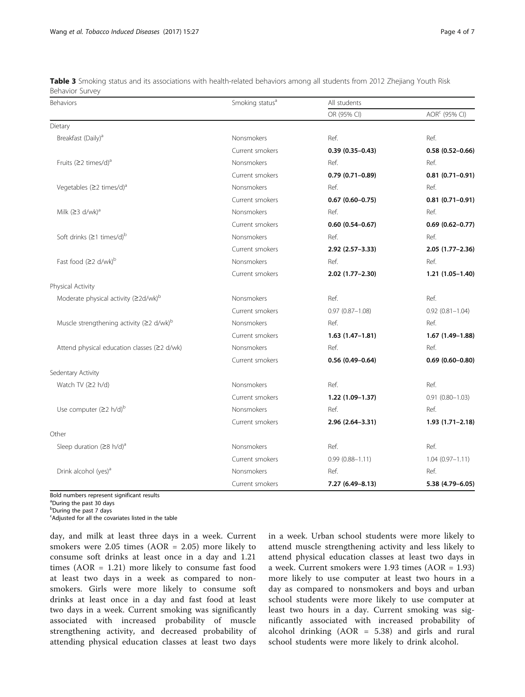| Behaviors                                                   | Smoking status <sup>a</sup> | All students        |                           |  |
|-------------------------------------------------------------|-----------------------------|---------------------|---------------------------|--|
|                                                             |                             | OR (95% CI)         | AOR <sup>c</sup> (95% CI) |  |
| Dietary                                                     |                             |                     |                           |  |
| Breakfast (Daily) <sup>a</sup>                              | Nonsmokers                  | Ref.                | Ref.                      |  |
|                                                             | Current smokers             | $0.39(0.35 - 0.43)$ | $0.58(0.52 - 0.66)$       |  |
| Fruits ( $\geq$ 2 times/d) <sup>a</sup>                     | Nonsmokers                  | Ref.                | Ref.                      |  |
|                                                             | Current smokers             | $0.79(0.71 - 0.89)$ | $0.81(0.71 - 0.91)$       |  |
| Vegetables ( $\geq$ 2 times/d) <sup>a</sup>                 | Nonsmokers                  | Ref.                | Ref.                      |  |
|                                                             | Current smokers             | $0.67(0.60 - 0.75)$ | $0.81(0.71 - 0.91)$       |  |
| Milk $(23 d/wk)^a$                                          | Nonsmokers                  | Ref.                | Ref.                      |  |
|                                                             | Current smokers             | $0.60(0.54 - 0.67)$ | $0.69(0.62 - 0.77)$       |  |
| Soft drinks $(≥1$ times/d) <sup>b</sup>                     | Nonsmokers                  | Ref.                | Ref.                      |  |
|                                                             | Current smokers             | 2.92 (2.57-3.33)    | $2.05(1.77-2.36)$         |  |
| Fast food (≥2 d/wk) <sup>b</sup>                            | Nonsmokers                  | Ref.                | Ref.                      |  |
|                                                             | Current smokers             | 2.02 (1.77-2.30)    | $1.21(1.05 - 1.40)$       |  |
| Physical Activity                                           |                             |                     |                           |  |
| Moderate physical activity (≥2d/wk) <sup>b</sup>            | Nonsmokers                  | Ref.                | Ref.                      |  |
|                                                             | Current smokers             | $0.97(0.87 - 1.08)$ | $0.92$ $(0.81 - 1.04)$    |  |
| Muscle strengthening activity ( $\geq$ 2 d/wk) <sup>b</sup> | Nonsmokers                  | Ref.                | Ref.                      |  |
|                                                             | Current smokers             | $1.63(1.47-1.81)$   | $1.67(1.49-1.88)$         |  |
| Attend physical education classes (≥2 d/wk)                 | Nonsmokers                  | Ref.                | Ref.                      |  |
|                                                             | Current smokers             | $0.56(0.49 - 0.64)$ | $0.69(0.60 - 0.80)$       |  |
| Sedentary Activity                                          |                             |                     |                           |  |
| Watch TV $(22 h/d)$                                         | Nonsmokers                  | Ref.                | Ref.                      |  |
|                                                             | Current smokers             | 1.22 (1.09-1.37)    | $0.91(0.80 - 1.03)$       |  |
| Use computer $(22 \ h/d)^b$                                 | Nonsmokers                  | Ref.                | Ref.                      |  |
|                                                             | Current smokers             | 2.96 (2.64-3.31)    | $1.93(1.71 - 2.18)$       |  |
| Other                                                       |                             |                     |                           |  |
| Sleep duration ( $\geq$ 8 h/d) <sup>a</sup>                 | Nonsmokers                  | Ref.                | Ref.                      |  |
|                                                             | Current smokers             | $0.99(0.88 - 1.11)$ | $1.04(0.97 - 1.11)$       |  |
| Drink alcohol (yes) <sup>a</sup>                            | Nonsmokers                  | Ref.                | Ref.                      |  |
|                                                             | Current smokers             | 7.27 (6.49-8.13)    | 5.38 (4.79-6.05)          |  |

<span id="page-3-0"></span>Table 3 Smoking status and its associations with health-related behaviors among all students from 2012 Zhejiang Youth Risk Behavior Survey

Bold numbers represent significant results

<sup>a</sup>During the past 30 days

<sup>b</sup>During the past 7 days

<sup>c</sup>Adjusted for all the covariates listed in the table

day, and milk at least three days in a week. Current smokers were 2.05 times (AOR = 2.05) more likely to consume soft drinks at least once in a day and 1.21 times  $(AOR = 1.21)$  more likely to consume fast food at least two days in a week as compared to nonsmokers. Girls were more likely to consume soft drinks at least once in a day and fast food at least two days in a week. Current smoking was significantly associated with increased probability of muscle strengthening activity, and decreased probability of attending physical education classes at least two days

in a week. Urban school students were more likely to attend muscle strengthening activity and less likely to attend physical education classes at least two days in a week. Current smokers were 1.93 times (AOR = 1.93) more likely to use computer at least two hours in a day as compared to nonsmokers and boys and urban school students were more likely to use computer at least two hours in a day. Current smoking was significantly associated with increased probability of alcohol drinking (AOR = 5.38) and girls and rural school students were more likely to drink alcohol.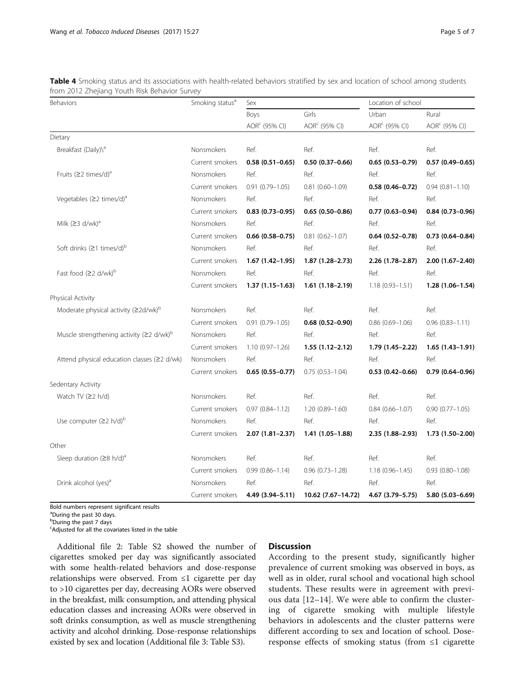| Behaviors                                                   | Smoking status <sup>a</sup> | Sex                       |                                    | Location of school                 |                           |
|-------------------------------------------------------------|-----------------------------|---------------------------|------------------------------------|------------------------------------|---------------------------|
|                                                             |                             | Boys                      | Girls<br>AOR <sup>c</sup> (95% CI) | Urban<br>AOR <sup>c</sup> (95% CI) | Rural                     |
|                                                             |                             | AOR <sup>c</sup> (95% CI) |                                    |                                    | AOR <sup>c</sup> (95% CI) |
| Dietary                                                     |                             |                           |                                    |                                    |                           |
| Breakfast (Daily)\ <sup>a</sup>                             | Nonsmokers                  | Ref.                      | Ref.                               | Ref.                               | Ref.                      |
|                                                             | Current smokers             | $0.58(0.51 - 0.65)$       | $0.50(0.37-0.66)$                  | $0.65(0.53 - 0.79)$                | $0.57(0.49 - 0.65)$       |
| Fruits (≥2 times/d) <sup>a</sup>                            | Nonsmokers                  | Ref.                      | Ref.                               | Ref.                               | Ref.                      |
|                                                             | Current smokers             | $0.91(0.79 - 1.05)$       | $0.81$ $(0.60 - 1.09)$             | $0.58(0.46 - 0.72)$                | $0.94(0.81 - 1.10)$       |
| Vegetables $(≥2 \times 1)$ <sup>a</sup>                     | Nonsmokers                  | Ref.                      | Ref.                               | Ref.                               | Ref.                      |
|                                                             | Current smokers             | $0.83(0.73 - 0.95)$       | $0.65(0.50-0.86)$                  | $0.77(0.63 - 0.94)$                | $0.84(0.73 - 0.96)$       |
| Milk $(23 d/wk)^a$                                          | Nonsmokers                  | Ref.                      | Ref.                               | Ref.                               | Ref.                      |
|                                                             | Current smokers             | $0.66(0.58 - 0.75)$       | $0.81$ $(0.62 - 1.07)$             | $0.64(0.52 - 0.78)$                | $0.73(0.64 - 0.84)$       |
| Soft drinks $( \geq 1$ times/d) <sup>b</sup>                | Nonsmokers                  | Ref.                      | Ref.                               | Ref.                               | Ref.                      |
|                                                             | Current smokers             | $1.67(1.42 - 1.95)$       | $1.87(1.28 - 2.73)$                | 2.26 (1.78-2.87)                   | 2.00 (1.67-2.40)          |
| Fast food (≥2 d/wk) <sup>b</sup>                            | Nonsmokers                  | Ref.                      | Ref.                               | Ref.                               | Ref.                      |
|                                                             | Current smokers             | $1.37(1.15-1.63)$         | $1.61(1.18-2.19)$                  | $1.18(0.93 - 1.51)$                | $1.28(1.06 - 1.54)$       |
| Physical Activity                                           |                             |                           |                                    |                                    |                           |
| Moderate physical activity $(22d/wk)^b$                     | Nonsmokers                  | Ref.                      | Ref.                               | Ref.                               | Ref.                      |
|                                                             | Current smokers             | $0.91(0.79 - 1.05)$       | $0.68$ (0.52-0.90)                 | $0.86$ $(0.69 - 1.06)$             | $0.96(0.83 - 1.11)$       |
| Muscle strengthening activity ( $\geq$ 2 d/wk) <sup>b</sup> | Nonsmokers                  | Ref.                      | Ref.                               | Ref.                               | Ref.                      |
|                                                             | Current smokers             | $1.10(0.97 - 1.26)$       | $1.55(1.12 - 2.12)$                | 1.79 (1.45-2.22)                   | $1.65(1.43 - 1.91)$       |
| Attend physical education classes (≥2 d/wk)                 | Nonsmokers                  | Ref.                      | Ref.                               | Ref.                               | Ref.                      |
|                                                             | Current smokers             | $0.65(0.55 - 0.77)$       | $0.75(0.53 - 1.04)$                | $0.53(0.42 - 0.66)$                | $0.79(0.64 - 0.96)$       |
| Sedentary Activity                                          |                             |                           |                                    |                                    |                           |
| Watch TV $(22 h/d)$                                         | Nonsmokers                  | Ref.                      | Ref.                               | Ref.                               | Ref.                      |
|                                                             | Current smokers             | $0.97(0.84 - 1.12)$       | $1.20(0.89 - 1.60)$                | $0.84(0.66 - 1.07)$                | $0.90(0.77 - 1.05)$       |
| Use computer $(22 \text{ h/d})^b$                           | Nonsmokers                  | Ref.                      | Ref.                               | Ref.                               | Ref.                      |
|                                                             | Current smokers             | $2.07(1.81 - 2.37)$       | 1.41 (1.05-1.88)                   | 2.35 (1.88-2.93)                   | 1.73 (1.50-2.00)          |
| Other                                                       |                             |                           |                                    |                                    |                           |
| Sleep duration $(28 \text{ h/d})^3$                         | Nonsmokers                  | Ref.                      | Ref.                               | Ref.                               | Ref.                      |
|                                                             | Current smokers             | $0.99(0.86 - 1.14)$       | $0.96$ $(0.73 - 1.28)$             | $1.18(0.96 - 1.45)$                | $0.93(0.80 - 1.08)$       |
| Drink alcohol (yes) <sup>a</sup>                            | Nonsmokers                  | Ref.                      | Ref.                               | Ref.                               | Ref.                      |
|                                                             | Current smokers             | 4.49 (3.94-5.11)          | 10.62 (7.67-14.72)                 | 4.67 (3.79-5.75)                   | 5.80 (5.03-6.69)          |

<span id="page-4-0"></span>Table 4 Smoking status and its associations with health-related behaviors stratified by sex and location of school among students from 2012 Zhejiang Youth Risk Behavior Survey

Bold numbers represent significant results

<sup>a</sup>During the past 30 days.

bDuring the past 7 days

<sup>c</sup>Adjusted for all the covariates listed in the table

Additional file [2:](#page-5-0) Table S2 showed the number of cigarettes smoked per day was significantly associated with some health-related behaviors and dose-response relationships were observed. From  $\leq 1$  cigarette per day to >10 cigarettes per day, decreasing AORs were observed in the breakfast, milk consumption, and attending physical education classes and increasing AORs were observed in soft drinks consumption, as well as muscle strengthening activity and alcohol drinking. Dose-response relationships existed by sex and location (Additional file [3:](#page-5-0) Table S3).

# **Discussion**

According to the present study, significantly higher prevalence of current smoking was observed in boys, as well as in older, rural school and vocational high school students. These results were in agreement with previous data [[12](#page-6-0)–[14\]](#page-6-0). We were able to confirm the clustering of cigarette smoking with multiple lifestyle behaviors in adolescents and the cluster patterns were different according to sex and location of school. Doseresponse effects of smoking status (from ≤1 cigarette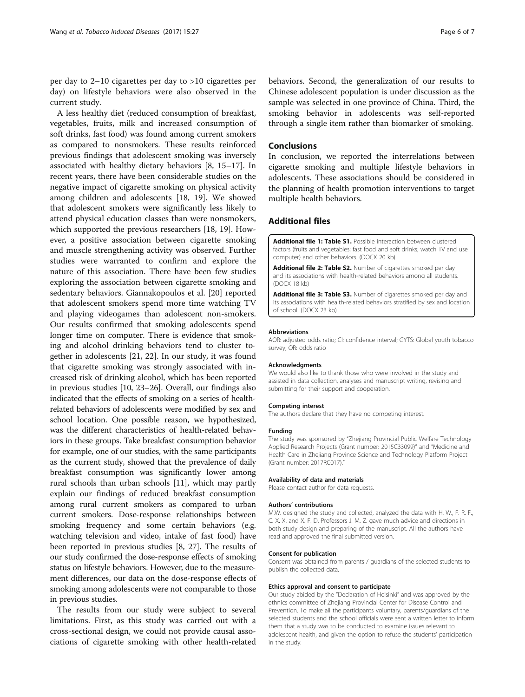<span id="page-5-0"></span>per day to 2–10 cigarettes per day to >10 cigarettes per day) on lifestyle behaviors were also observed in the current study.

A less healthy diet (reduced consumption of breakfast, vegetables, fruits, milk and increased consumption of soft drinks, fast food) was found among current smokers as compared to nonsmokers. These results reinforced previous findings that adolescent smoking was inversely associated with healthy dietary behaviors [[8, 15](#page-6-0)–[17](#page-6-0)]. In recent years, there have been considerable studies on the negative impact of cigarette smoking on physical activity among children and adolescents [\[18](#page-6-0), [19](#page-6-0)]. We showed that adolescent smokers were significantly less likely to attend physical education classes than were nonsmokers, which supported the previous researchers [\[18, 19](#page-6-0)]. However, a positive association between cigarette smoking and muscle strengthening activity was observed. Further studies were warranted to confirm and explore the nature of this association. There have been few studies exploring the association between cigarette smoking and sedentary behaviors. Giannakopoulos et al. [\[20](#page-6-0)] reported that adolescent smokers spend more time watching TV and playing videogames than adolescent non-smokers. Our results confirmed that smoking adolescents spend longer time on computer. There is evidence that smoking and alcohol drinking behaviors tend to cluster together in adolescents [[21, 22\]](#page-6-0). In our study, it was found that cigarette smoking was strongly associated with increased risk of drinking alcohol, which has been reported in previous studies [\[10, 23](#page-6-0)–[26](#page-6-0)]. Overall, our findings also indicated that the effects of smoking on a series of healthrelated behaviors of adolescents were modified by sex and school location. One possible reason, we hypothesized, was the different characteristics of health-related behaviors in these groups. Take breakfast consumption behavior for example, one of our studies, with the same participants as the current study, showed that the prevalence of daily breakfast consumption was significantly lower among rural schools than urban schools [[11](#page-6-0)], which may partly explain our findings of reduced breakfast consumption among rural current smokers as compared to urban current smokers. Dose-response relationships between smoking frequency and some certain behaviors (e.g. watching television and video, intake of fast food) have been reported in previous studies [[8](#page-6-0), [27](#page-6-0)]. The results of our study confirmed the dose-response effects of smoking status on lifestyle behaviors. However, due to the measurement differences, our data on the dose-response effects of smoking among adolescents were not comparable to those in previous studies.

The results from our study were subject to several limitations. First, as this study was carried out with a cross-sectional design, we could not provide causal associations of cigarette smoking with other health-related behaviors. Second, the generalization of our results to Chinese adolescent population is under discussion as the sample was selected in one province of China. Third, the smoking behavior in adolescents was self-reported through a single item rather than biomarker of smoking.

## **Conclusions**

In conclusion, we reported the interrelations between cigarette smoking and multiple lifestyle behaviors in adolescents. These associations should be considered in the planning of health promotion interventions to target multiple health behaviors.

# Additional files

[Additional file 1: Table S1.](dx.doi.org/10.1186/s12971-017-0132-0) Possible interaction between clustered factors (fruits and vegetables; fast food and soft drinks; watch TV and use computer) and other behaviors. (DOCX 20 kb)

[Additional file 2: Table S2.](dx.doi.org/10.1186/s12971-017-0132-0) Number of cigarettes smoked per day and its associations with health-related behaviors among all students. (DOCX 18 kb)

[Additional file 3: Table S3.](dx.doi.org/10.1186/s12971-017-0132-0) Number of cigarettes smoked per day and its associations with health-related behaviors stratified by sex and location of school. (DOCX 23 kb)

#### Abbreviations

AOR: adjusted odds ratio; CI: confidence interval; GYTS: Global youth tobacco survey; OR: odds ratio

#### Acknowledgments

We would also like to thank those who were involved in the study and assisted in data collection, analyses and manuscript writing, revising and submitting for their support and cooperation.

#### Competing interest

The authors declare that they have no competing interest.

#### Funding

The study was sponsored by "Zhejiang Provincial Public Welfare Technology Applied Research Projects (Grant number: 2015C33099)" and "Medicine and Health Care in Zhejiang Province Science and Technology Platform Project (Grant number: 2017RC017)."

#### Availability of data and materials

Please contact author for data requests.

#### Authors' contributions

M.W. designed the study and collected, analyzed the data with H. W., F. R. F., C. X. X. and X. F. D. Professors J. M. Z. gave much advice and directions in both study design and preparing of the manuscript. All the authors have read and approved the final submitted version.

#### Consent for publication

Consent was obtained from parents / guardians of the selected students to publish the collected data.

#### Ethics approval and consent to participate

Our study abided by the "Declaration of Helsinki" and was approved by the ethnics committee of Zhejiang Provincial Center for Disease Control and Prevention. To make all the participants voluntary, parents/guardians of the selected students and the school officials were sent a written letter to inform them that a study was to be conducted to examine issues relevant to adolescent health, and given the option to refuse the students' participation in the study.